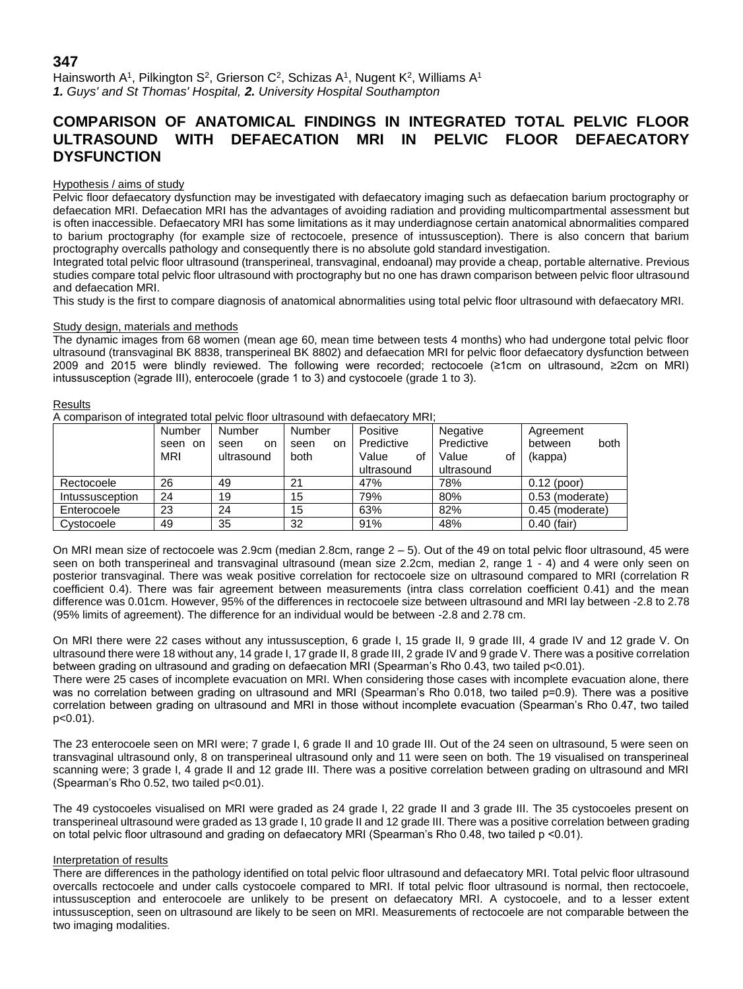# **347**

Hainsworth A<sup>1</sup>, Pilkington S<sup>2</sup>, Grierson C<sup>2</sup>, Schizas A<sup>1</sup>, Nugent K<sup>2</sup>, Williams A<sup>1</sup> *1. Guys' and St Thomas' Hospital, 2. University Hospital Southampton*

# **COMPARISON OF ANATOMICAL FINDINGS IN INTEGRATED TOTAL PELVIC FLOOR ULTRASOUND WITH DEFAECATION MRI IN PELVIC FLOOR DEFAECATORY DYSFUNCTION**

## Hypothesis / aims of study

Pelvic floor defaecatory dysfunction may be investigated with defaecatory imaging such as defaecation barium proctography or defaecation MRI. Defaecation MRI has the advantages of avoiding radiation and providing multicompartmental assessment but is often inaccessible. Defaecatory MRI has some limitations as it may underdiagnose certain anatomical abnormalities compared to barium proctography (for example size of rectocoele, presence of intussusception). There is also concern that barium proctography overcalls pathology and consequently there is no absolute gold standard investigation.

Integrated total pelvic floor ultrasound (transperineal, transvaginal, endoanal) may provide a cheap, portable alternative. Previous studies compare total pelvic floor ultrasound with proctography but no one has drawn comparison between pelvic floor ultrasound and defaecation MRI.

This study is the first to compare diagnosis of anatomical abnormalities using total pelvic floor ultrasound with defaecatory MRI.

## Study design, materials and methods

The dynamic images from 68 women (mean age 60, mean time between tests 4 months) who had undergone total pelvic floor ultrasound (transvaginal BK 8838, transperineal BK 8802) and defaecation MRI for pelvic floor defaecatory dysfunction between 2009 and 2015 were blindly reviewed. The following were recorded; rectocoele (≥1cm on ultrasound, ≥2cm on MRI) intussusception (≥grade III), enterocoele (grade 1 to 3) and cystocoele (grade 1 to 3).

## Results

A comparison of integrated total pelvic floor ultrasound with defaecatory MRI;

|                 | Number                | Number                   | Number              | Positive                                | Negative                                | Agreement                  |
|-----------------|-----------------------|--------------------------|---------------------|-----------------------------------------|-----------------------------------------|----------------------------|
|                 | seen on<br><b>MRI</b> | seen<br>on<br>ultrasound | on.<br>seen<br>both | Predictive<br>Value<br>οf<br>ultrasound | Predictive<br>Value<br>οf<br>ultrasound | both<br>between<br>(kappa) |
|                 |                       |                          |                     |                                         |                                         |                            |
| Rectocoele      | 26                    | 49                       | 21                  | 47%                                     | 78%                                     | $0.12$ (poor)              |
| Intussusception | 24                    | 19                       | 15                  | 79%                                     | 80%                                     | 0.53 (moderate)            |
| Enterocoele     | 23                    | 24                       | 15                  | 63%                                     | 82%                                     | 0.45 (moderate)            |
| Cystocoele      | 49                    | 35                       | 32                  | 91%                                     | 48%                                     | $0.40$ (fair)              |

On MRI mean size of rectocoele was 2.9cm (median 2.8cm, range  $2 - 5$ ). Out of the 49 on total pelvic floor ultrasound, 45 were seen on both transperineal and transvaginal ultrasound (mean size 2.2cm, median 2, range 1 - 4) and 4 were only seen on posterior transvaginal. There was weak positive correlation for rectocoele size on ultrasound compared to MRI (correlation R coefficient 0.4). There was fair agreement between measurements (intra class correlation coefficient 0.41) and the mean difference was 0.01cm. However, 95% of the differences in rectocoele size between ultrasound and MRI lay between -2.8 to 2.78 (95% limits of agreement). The difference for an individual would be between -2.8 and 2.78 cm.

On MRI there were 22 cases without any intussusception, 6 grade I, 15 grade II, 9 grade III, 4 grade IV and 12 grade V. On ultrasound there were 18 without any, 14 grade I, 17 grade II, 8 grade III, 2 grade IV and 9 grade V. There was a positive correlation between grading on ultrasound and grading on defaecation MRI (Spearman's Rho 0.43, two tailed p<0.01).

There were 25 cases of incomplete evacuation on MRI. When considering those cases with incomplete evacuation alone, there was no correlation between grading on ultrasound and MRI (Spearman's Rho 0.018, two tailed p=0.9). There was a positive correlation between grading on ultrasound and MRI in those without incomplete evacuation (Spearman's Rho 0.47, two tailed p<0.01).

The 23 enterocoele seen on MRI were; 7 grade I, 6 grade II and 10 grade III. Out of the 24 seen on ultrasound, 5 were seen on transvaginal ultrasound only, 8 on transperineal ultrasound only and 11 were seen on both. The 19 visualised on transperineal scanning were; 3 grade I, 4 grade II and 12 grade III. There was a positive correlation between grading on ultrasound and MRI (Spearman's Rho 0.52, two tailed p<0.01).

The 49 cystocoeles visualised on MRI were graded as 24 grade I, 22 grade II and 3 grade III. The 35 cystocoeles present on transperineal ultrasound were graded as 13 grade I, 10 grade II and 12 grade III. There was a positive correlation between grading on total pelvic floor ultrasound and grading on defaecatory MRI (Spearman's Rho 0.48, two tailed p <0.01).

## Interpretation of results

There are differences in the pathology identified on total pelvic floor ultrasound and defaecatory MRI. Total pelvic floor ultrasound overcalls rectocoele and under calls cystocoele compared to MRI. If total pelvic floor ultrasound is normal, then rectocoele, intussusception and enterocoele are unlikely to be present on defaecatory MRI. A cystocoele, and to a lesser extent intussusception, seen on ultrasound are likely to be seen on MRI. Measurements of rectocoele are not comparable between the two imaging modalities.